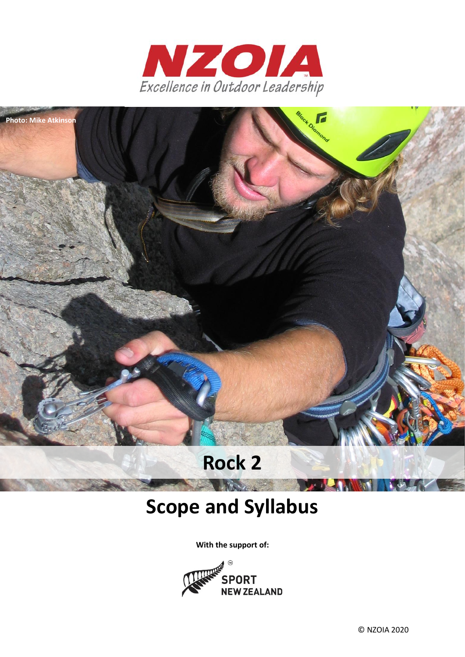



# **Rock 2**

# **Scope and Syllabus**

**CONTRACTOR** 

**With the support of:**



© NZOIA 2020

**PARTIES**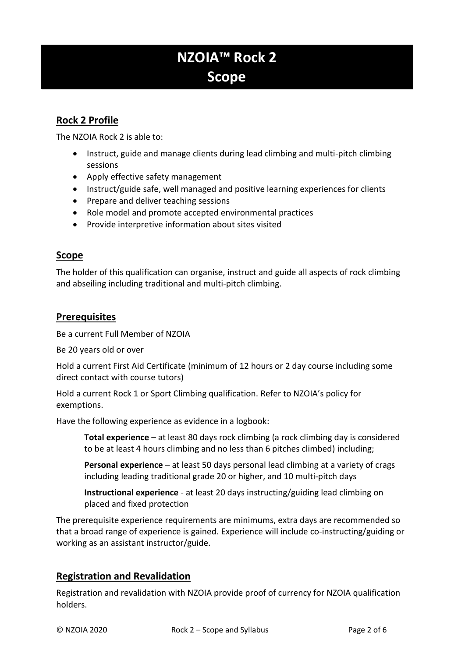# **NZOIA™ Rock 2 Scope**

# **Rock 2 Profile**

The NZOIA Rock 2 is able to:

- Instruct, guide and manage clients during lead climbing and multi-pitch climbing sessions
- Apply effective safety management
- Instruct/guide safe, well managed and positive learning experiences for clients
- Prepare and deliver teaching sessions
- Role model and promote accepted environmental practices
- Provide interpretive information about sites visited

# **Scope**

The holder of this qualification can organise, instruct and guide all aspects of rock climbing and abseiling including traditional and multi-pitch climbing.

# **Prerequisites**

Be a current Full Member of NZOIA

Be 20 years old or over

Hold a current First Aid Certificate (minimum of 12 hours or 2 day course including some direct contact with course tutors)

Hold a current Rock 1 or Sport Climbing qualification. Refer to NZOIA's policy for exemptions.

Have the following experience as evidence in a logbook:

**Total experience** – at least 80 days rock climbing (a rock climbing day is considered to be at least 4 hours climbing and no less than 6 pitches climbed) including;

**Personal experience** – at least 50 days personal lead climbing at a variety of crags including leading traditional grade 20 or higher, and 10 multi-pitch days

**Instructional experience** - at least 20 days instructing/guiding lead climbing on placed and fixed protection

The prerequisite experience requirements are minimums, extra days are recommended so that a broad range of experience is gained. Experience will include co-instructing/guiding or working as an assistant instructor/guide.

# **Registration and Revalidation**

Registration and revalidation with NZOIA provide proof of currency for NZOIA qualification holders.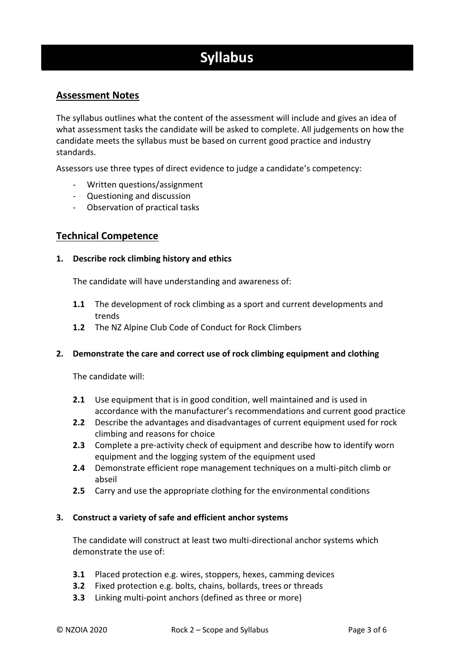# **Syllabus**

# **Assessment Notes**

The syllabus outlines what the content of the assessment will include and gives an idea of what assessment tasks the candidate will be asked to complete. All judgements on how the candidate meets the syllabus must be based on current good practice and industry standards.

Assessors use three types of direct evidence to judge a candidate's competency:

- Written questions/assignment
- Questioning and discussion
- Observation of practical tasks

### **Technical Competence**

#### **1. Describe rock climbing history and ethics**

The candidate will have understanding and awareness of:

- **1.1** The development of rock climbing as a sport and current developments and trends
- **1.2** The NZ Alpine Club Code of Conduct for Rock Climbers

#### **2. Demonstrate the care and correct use of rock climbing equipment and clothing**

The candidate will:

- **2.1** Use equipment that is in good condition, well maintained and is used in accordance with the manufacturer's recommendations and current good practice
- **2.2** Describe the advantages and disadvantages of current equipment used for rock climbing and reasons for choice
- **2.3** Complete a pre-activity check of equipment and describe how to identify worn equipment and the logging system of the equipment used
- **2.4** Demonstrate efficient rope management techniques on a multi-pitch climb or abseil
- **2.5** Carry and use the appropriate clothing for the environmental conditions

#### **3. Construct a variety of safe and efficient anchor systems**

The candidate will construct at least two multi-directional anchor systems which demonstrate the use of:

- **3.1** Placed protection e.g. wires, stoppers, hexes, camming devices
- **3.2** Fixed protection e.g. bolts, chains, bollards, trees or threads
- **3.3** Linking multi-point anchors (defined as three or more)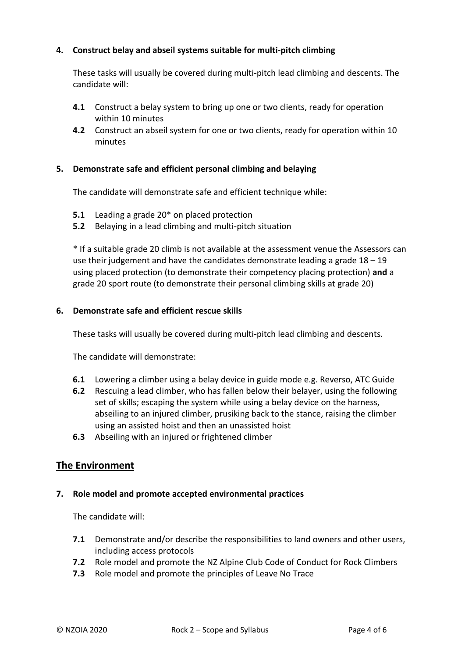#### **4. Construct belay and abseil systems suitable for multi-pitch climbing**

These tasks will usually be covered during multi-pitch lead climbing and descents. The candidate will:

- **4.1** Construct a belay system to bring up one or two clients, ready for operation within 10 minutes
- **4.2** Construct an abseil system for one or two clients, ready for operation within 10 minutes

#### **5. Demonstrate safe and efficient personal climbing and belaying**

The candidate will demonstrate safe and efficient technique while:

- **5.1** Leading a grade 20\* on placed protection
- **5.2** Belaying in a lead climbing and multi-pitch situation

\* If a suitable grade 20 climb is not available at the assessment venue the Assessors can use their judgement and have the candidates demonstrate leading a grade  $18 - 19$ using placed protection (to demonstrate their competency placing protection) **and** a grade 20 sport route (to demonstrate their personal climbing skills at grade 20)

#### **6. Demonstrate safe and efficient rescue skills**

These tasks will usually be covered during multi-pitch lead climbing and descents.

The candidate will demonstrate:

- **6.1** Lowering a climber using a belay device in guide mode e.g. Reverso, ATC Guide
- **6.2** Rescuing a lead climber, who has fallen below their belayer, using the following set of skills; escaping the system while using a belay device on the harness, abseiling to an injured climber, prusiking back to the stance, raising the climber using an assisted hoist and then an unassisted hoist
- **6.3** Abseiling with an injured or frightened climber

# **The Environment**

#### **7. Role model and promote accepted environmental practices**

The candidate will:

- **7.1** Demonstrate and/or describe the responsibilities to land owners and other users, including access protocols
- **7.2** Role model and promote the NZ Alpine Club Code of Conduct for Rock Climbers
- **7.3** Role model and promote the principles of Leave No Trace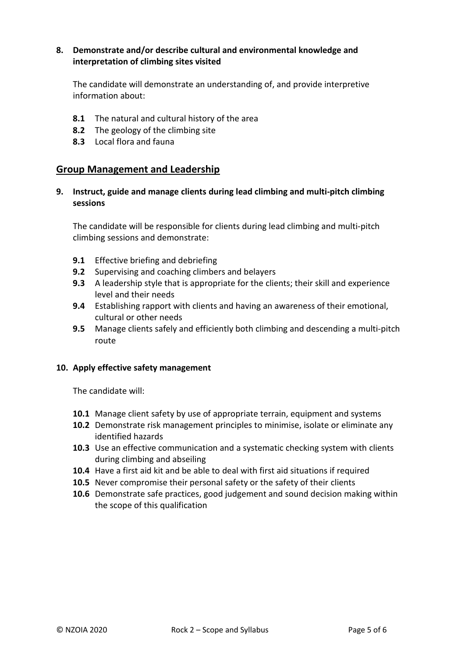#### **8. Demonstrate and/or describe cultural and environmental knowledge and interpretation of climbing sites visited**

The candidate will demonstrate an understanding of, and provide interpretive information about:

- **8.1** The natural and cultural history of the area
- **8.2** The geology of the climbing site
- **8.3** Local flora and fauna

#### **Group Management and Leadership**

**9. Instruct, guide and manage clients during lead climbing and multi-pitch climbing sessions**

The candidate will be responsible for clients during lead climbing and multi-pitch climbing sessions and demonstrate:

- **9.1** Effective briefing and debriefing
- **9.2** Supervising and coaching climbers and belayers
- **9.3** A leadership style that is appropriate for the clients; their skill and experience level and their needs
- **9.4** Establishing rapport with clients and having an awareness of their emotional, cultural or other needs
- **9.5** Manage clients safely and efficiently both climbing and descending a multi-pitch route

#### **10. Apply effective safety management**

The candidate will:

- **10.1** Manage client safety by use of appropriate terrain, equipment and systems
- **10.2** Demonstrate risk management principles to minimise, isolate or eliminate any identified hazards
- **10.3** Use an effective communication and a systematic checking system with clients during climbing and abseiling
- **10.4** Have a first aid kit and be able to deal with first aid situations if required
- **10.5** Never compromise their personal safety or the safety of their clients
- **10.6** Demonstrate safe practices, good judgement and sound decision making within the scope of this qualification